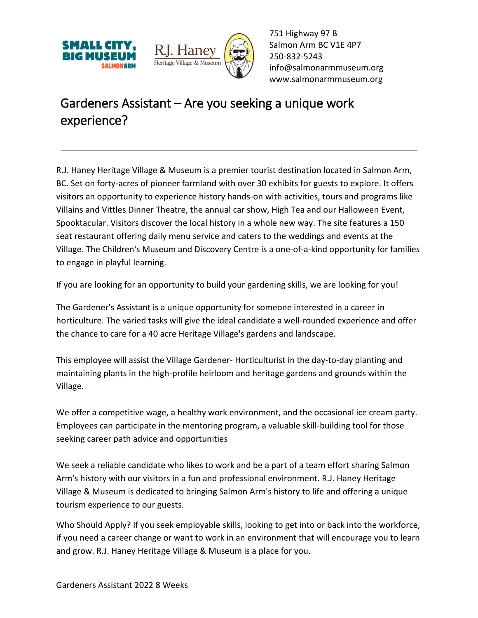



751 Highway 97 B Salmon Arm BC V1E 4P7 250-832-5243 [info@salmonarmmuseum.org](mailto:info@salmonarmmuseum.org) www.salmonarmmuseum.org

## Gardeners Assistant – Are you seeking a unique work experience?

R.J. Haney Heritage Village & Museum is a premier tourist destination located in Salmon Arm, BC. Set on forty-acres of pioneer farmland with over 30 exhibits for guests to explore. It offers visitors an opportunity to experience history hands-on with activities, tours and programs like Villains and Vittles Dinner Theatre, the annual car show, High Tea and our Halloween Event, Spooktacular. Visitors discover the local history in a whole new way. The site features a 150 seat restaurant offering daily menu service and caters to the weddings and events at the Village. The Children's Museum and Discovery Centre is a one-of-a-kind opportunity for families to engage in playful learning.

If you are looking for an opportunity to build your gardening skills, we are looking for you!

The Gardener's Assistant is a unique opportunity for someone interested in a career in horticulture. The varied tasks will give the ideal candidate a well-rounded experience and offer the chance to care for a 40 acre Heritage Village's gardens and landscape.

This employee will assist the Village Gardener- Horticulturist in the day-to-day planting and maintaining plants in the high-profile heirloom and heritage gardens and grounds within the Village.

We offer a competitive wage, a healthy work environment, and the occasional ice cream party. Employees can participate in the mentoring program, a valuable skill-building tool for those seeking career path advice and opportunities

We seek a reliable candidate who likes to work and be a part of a team effort sharing Salmon Arm's history with our visitors in a fun and professional environment. R.J. Haney Heritage Village & Museum is dedicated to bringing Salmon Arm's history to life and offering a unique tourism experience to our guests.

Who Should Apply? If you seek employable skills, looking to get into or back into the workforce, if you need a career change or want to work in an environment that will encourage you to learn and grow. R.J. Haney Heritage Village & Museum is a place for you.